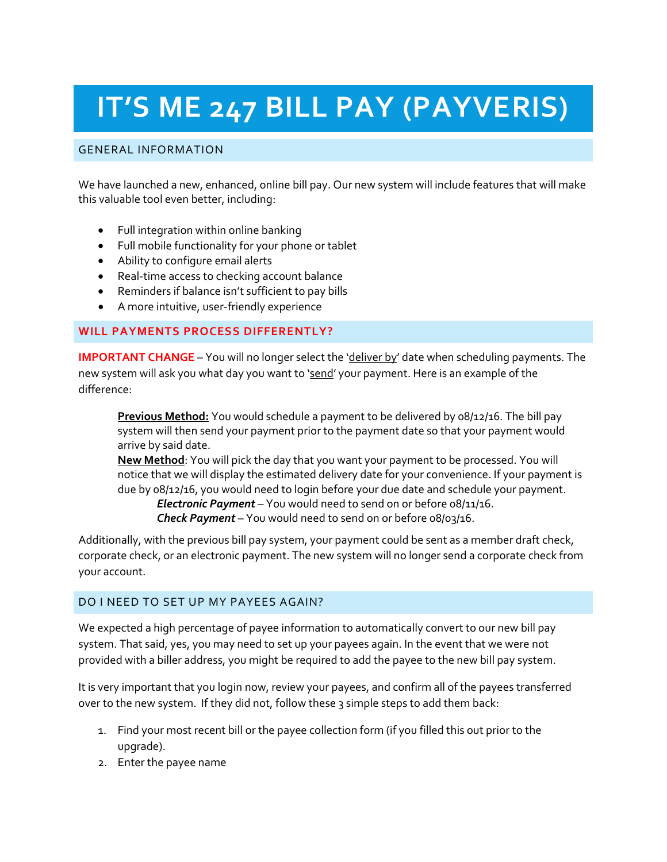# **IT'S ME 247 BILL PAY (PAYVERIS)**

## GENERAL INFORMATION

We have launched a new, enhanced, online bill pay. Our new system will include features that will make this valuable tool even better, including:

- Full integration within online banking
- Full mobile functionality for your phone or tablet
- Ability to configure email alerts
- Real-time access to checking account balance
- Reminders if balance isn't sufficient to pay bills
- A more intuitive, user-friendly experience

## **WILL PAYMENTS PROCESS DIFFERENTLY?**

**IMPORTANT CHANGE** – You will no longer select the 'deliver by' date when scheduling payments. The new system will ask you what day you want to 'send' your payment. Here is an example of the difference:

**Previous Method:** You would schedule a payment to be delivered by 08/12/16. The bill pay system will then send your payment prior to the payment date so that your payment would arrive by said date.

**New Method**: You will pick the day that you want your payment to be processed. You will notice that we will display the estimated delivery date for your convenience. If your payment is due by 08/12/16, you would need to login before your due date and schedule your payment.

*Electronic Payment* – You would need to send on or before 08/11/16. *Check Payment* – You would need to send on or before 08/03/16.

Additionally, with the previous bill pay system, your payment could be sent as a member draft check, corporate check, or an electronic payment. The new system will no longer send a corporate check from your account.

#### DO I NEED TO SET UP MY PAYEES AGAIN?

We expected a high percentage of payee information to automatically convert to our new bill pay system. That said, yes, you may need to set up your payees again. In the event that we were not provided with a biller address, you might be required to add the payee to the new bill pay system.

It is very important that you login now, review your payees, and confirm all of the payees transferred over to the new system. If they did not, follow these 3 simple steps to add them back:

- 1. Find your most recent bill or the payee collection form (if you filled this out prior to the upgrade).
- 2. Enter the payee name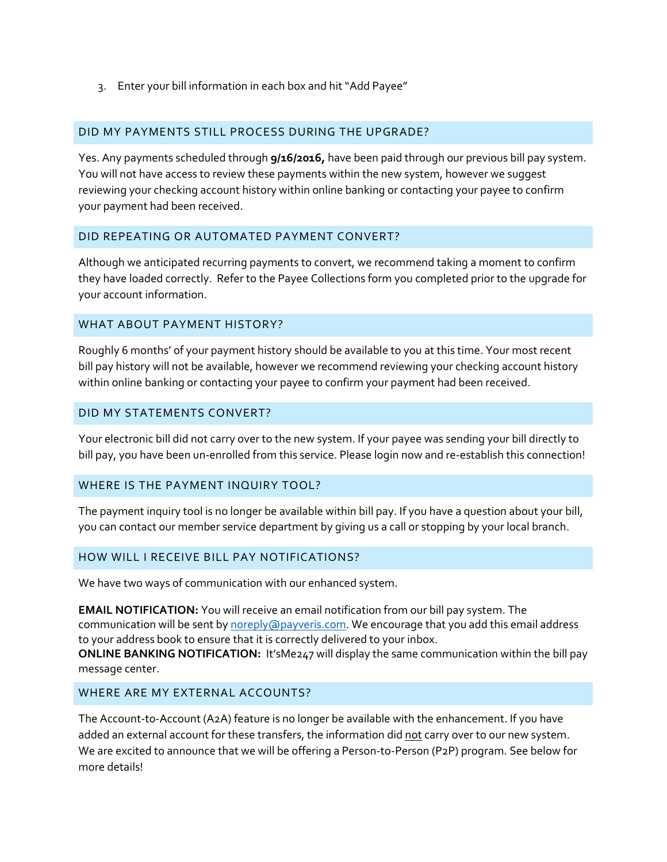3. Enter your bill information in each box and hit "Add Payee"

#### DID MY PAYMENTS STILL PROCESS DURING THE UPGRADE?

Yes. Any payments scheduled through **9/16/2016,** have been paid through our previous bill pay system. You will not have access to review these payments within the new system, however we suggest reviewing your checking account history within online banking or contacting your payee to confirm your payment had been received.

#### DID REPEATING OR AUTOMATED PAYMENT CONVERT?

Although we anticipated recurring payments to convert, we recommend taking a moment to confirm they have loaded correctly. Refer to the Payee Collections form you completed prior to the upgrade for your account information.

#### WHAT ABOUT PAYMENT HISTORY?

Roughly 6 months' of your payment history should be available to you at this time. Your most recent bill pay history will not be available, however we recommend reviewing your checking account history within online banking or contacting your payee to confirm your payment had been received.

#### DID MY STATEMENTS CONVERT?

Your electronic bill did not carry over to the new system. If your payee was sending your bill directly to bill pay, you have been un-enrolled from this service. Please login now and re-establish this connection!

#### WHERE IS THE PAYMENT INQUIRY TOOL?

The payment inquiry tool is no longer be available within bill pay. If you have a question about your bill, you can contact our member service department by giving us a call or stopping by your local branch.

#### HOW WILL I RECEIVE BILL PAY NOTIFICATIONS?

We have two ways of communication with our enhanced system.

**EMAIL NOTIFICATION:** You will receive an email notification from our bill pay system. The communication will be sent by [noreply@payveris.com.](mailto:noreply@payveris.com) We encourage that you add this email address to your address book to ensure that it is correctly delivered to your inbox.

**ONLINE BANKING NOTIFICATION:** It'sMe247 will display the same communication within the bill pay message center.

#### WHERE ARE MY EXTERNAL ACCOUNTS?

The Account-to-Account (A2A) feature is no longer be available with the enhancement. If you have added an external account for these transfers, the information did not carry over to our new system. We are excited to announce that we will be offering a Person-to-Person (P2P) program. See below for more details!